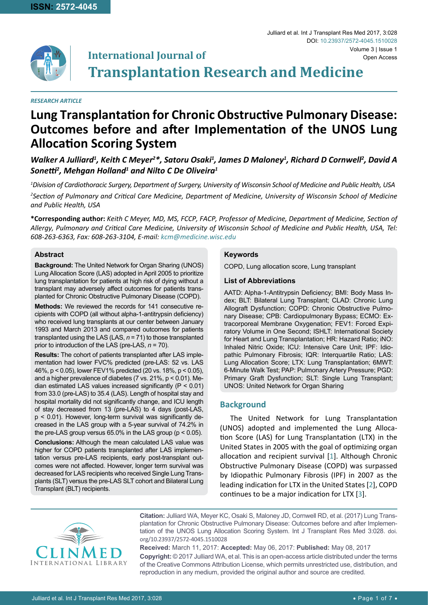

#### *RESEARCH ARTICLE*

# **Lung Transplantation for Chronic Obstructive Pulmonary Disease: Outcomes before and after Implementation of the UNOS Lung Allocation Scoring System**

Walker A Julliard<sup>1</sup>, Keith C Meyer<sup>2\*</sup>, Satoru Osaki<sup>1</sup>, James D Maloney<sup>1</sup>, Richard D Cornwell<sup>2</sup>, David A  $\mathsf{Sonetti}^2$ , Mehgan Holland $^1$  and Nilto C De Oliveira $^1$ 

*1 Division of Cardiothoracic Surgery, Department of Surgery, University of Wisconsin School of Medicine and Public Health, USA 2 Section of Pulmonary and Critical Care Medicine, Department of Medicine, University of Wisconsin School of Medicine and Public Health, USA*

**\*Corresponding author:** *Keith C Meyer, MD, MS, FCCP, FACP, Professor of Medicine, Department of Medicine, Section of Allergy, Pulmonary and Critical Care Medicine, University of Wisconsin School of Medicine and Public Health, USA, Tel: 608-263-6363, Fax: 608-263-3104, E-mail: kcm@medicine.wisc.edu*

### **Abstract**

**Background:** The United Network for Organ Sharing (UNOS) Lung Allocation Score (LAS) adopted in April 2005 to prioritize lung transplantation for patients at high risk of dying without a transplant may adversely affect outcomes for patients transplanted for Chronic Obstructive Pulmonary Disease (COPD).

**Methods:** We reviewed the records for 141 consecutive recipients with COPD (all without alpha-1-antitrypsin deficiency) who received lung transplants at our center between January 1993 and March 2013 and compared outcomes for patients transplanted using the LAS (LAS, *n* = 71) to those transplanted prior to introduction of the LAS (pre-LAS, *n* = 70).

**Results:** The cohort of patients transplanted after LAS implementation had lower FVC% predicted (pre-LAS: 52 vs. LAS 46%, p < 0.05), lower FEV1% predicted (20 vs. 18%, p < 0.05), and a higher prevalence of diabetes (7 vs. 21%, p < 0.01). Median estimated LAS values increased significantly (P < 0.01) from 33.0 (pre-LAS) to 35.4 (LAS). Length of hospital stay and hospital mortality did not significantly change, and ICU length of stay decreased from 13 (pre-LAS) to 4 days (post-LAS, p < 0.01). However, long-term survival was significantly decreased in the LAS group with a 5-year survival of 74.2% in the pre-LAS group versus 65.0% in the LAS group (p < 0.05).

**Conclusions:** Although the mean calculated LAS value was higher for COPD patients transplanted after LAS implementation versus pre-LAS recipients, early post-transplant outcomes were not affected. However, longer term survival was decreased for LAS recipients who received Single Lung Transplants (SLT) versus the pre-LAS SLT cohort and Bilateral Lung Transplant (BLT) recipients.

### **Keywords**

COPD, Lung allocation score, Lung transplant

#### **List of Abbreviations**

AATD: Alpha-1-Antitrypsin Deficiency; BMI: Body Mass Index; BLT: Bilateral Lung Transplant; CLAD: Chronic Lung Allograft Dysfunction; COPD: Chronic Obstructive Pulmonary Disease; CPB: Cardiopulmonary Bypass; ECMO: Extracorporeal Membrane Oxygenation; FEV1: Forced Expiratory Volume in One Second; ISHLT: International Society for Heart and Lung Transplantation; HR: Hazard Ratio; iNO: Inhaled Nitric Oxide; ICU: Intensive Care Unit; IPF: Idiopathic Pulmonary Fibrosis; IQR: Interquartile Ratio; LAS: Lung Allocation Score; LTX: Lung Transplantation; 6MWT: 6-Minute Walk Test; PAP: Pulmonary Artery Pressure; PGD: Primary Graft Dysfunction; SLT: Single Lung Transplant; UNOS: United Network for Organ Sharing

Julliard et al. Int J Transplant Res Med 2017, 3:028

DOI: [10.23937/2572-4045.151002](https://doi.org/10.23937/2572-4045.1510028)8

## **Background**

The United Network for Lung Transplantation (UNOS) adopted and implemented the Lung Allocation Score (LAS) for Lung Transplantation (LTX) in the United States in 2005 with the goal of optimizing organ allocation and recipient survival [[1](#page-5-0)]. Although Chronic Obstructive Pulmonary Disease (COPD) was surpassed by Idiopathic Pulmonary Fibrosis (IPF) in 2007 as the leading indication for LTX in the United States [[2](#page-6-0)], COPD continues to be a major indication for LTX [[3\]](#page-6-1).



**Citation:** Julliard WA, Meyer KC, Osaki S, Maloney JD, Cornwell RD, et al. (2017) Lung Transplantation for Chronic Obstructive Pulmonary Disease: Outcomes before and after Implementation of the UNOS Lung Allocation Scoring System. Int J Transplant Res Med 3:028. [doi.](https://doi.org/10.23937/2572-4045.1510028) [org/10.23937/2572-4045.1510028](https://doi.org/10.23937/2572-4045.1510028)

**Received:** March 11, 2017: **Accepted:** May 06, 2017: **Published:** May 08, 2017 **Copyright:** © 2017 Julliard WA, et al. This is an open-access article distributed under the terms of the Creative Commons Attribution License, which permits unrestricted use, distribution, and reproduction in any medium, provided the original author and source are credited.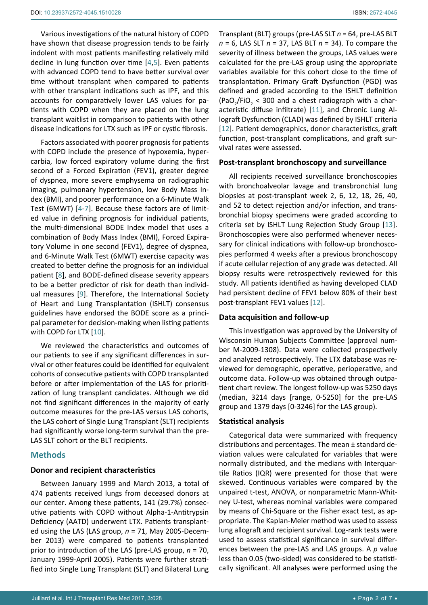Various investigations of the natural history of COPD have shown that disease progression tends to be fairly indolent with most patients manifesting relatively mild decline in lung function over time [[4,](#page-6-5)[5](#page-6-6)]. Even patients with advanced COPD tend to have better survival over time without transplant when compared to patients with other transplant indications such as IPF, and this accounts for comparatively lower LAS values for patients with COPD when they are placed on the lung transplant waitlist in comparison to patients with other disease indications for LTX such as IPF or cystic fibrosis.

Factors associated with poorer prognosis for patients with COPD include the presence of hypoxemia, hypercarbia, low forced expiratory volume during the first second of a Forced Expiration (FEV1), greater degree of dyspnea, more severe emphysema on radiographic imaging, pulmonary hypertension, low Body Mass Index (BMI), and poorer performance on a 6-Minute Walk Test (6MWT) [[4](#page-6-5)-[7](#page-6-7)]. Because these factors are of limited value in defining prognosis for individual patients, the multi-dimensional BODE Index model that uses a combination of Body Mass Index (BMI), Forced Expiratory Volume in one second (FEV1), degree of dyspnea, and 6-Minute Walk Test (6MWT) exercise capacity was created to better define the prognosis for an individual patient [[8](#page-6-8)], and BODE-defined disease severity appears to be a better predictor of risk for death than individual measures [[9](#page-6-9)]. Therefore, the International Society of Heart and Lung Transplantation (ISHLT) consensus guidelines have endorsed the BODE score as a principal parameter for decision-making when listing patients with COPD for LTX [[10](#page-6-10)].

We reviewed the characteristics and outcomes of our patients to see if any significant differences in survival or other features could be identified for equivalent cohorts of consecutive patients with COPD transplanted before or after implementation of the LAS for prioritization of lung transplant candidates. Although we did not find significant differences in the majority of early outcome measures for the pre-LAS versus LAS cohorts, the LAS cohort of Single Lung Transplant (SLT) recipients had significantly worse long-term survival than the pre-LAS SLT cohort or the BLT recipients.

## **Methods**

### **Donor and recipient characteristics**

Between January 1999 and March 2013, a total of 474 patients received lungs from deceased donors at our center. Among these patients, 141 (29.7%) consecutive patients with COPD without Alpha-1-Antitrypsin Deficiency (AATD) underwent LTX. Patients transplanted using the LAS (LAS group, *n* = 71, May 2005-December 2013) were compared to patients transplanted prior to introduction of the LAS (pre-LAS group, *n* = 70, January 1999-April 2005). Patients were further stratified into Single Lung Transplant (SLT) and Bilateral Lung

Transplant (BLT) groups (pre-LAS SLT *n* = 64, pre-LAS BLT *n* = 6, LAS SLT *n* = 37, LAS BLT *n* = 34). To compare the severity of illness between the groups, LAS values were calculated for the pre-LAS group using the appropriate variables available for this cohort close to the time of transplantation. Primary Graft Dysfunction (PGD) was defined and graded according to the ISHLT definition (PaO<sub>2</sub>/FiO<sub>2</sub> < 300 and a chest radiograph with a characteristic diffuse infiltrate) [[11\]](#page-6-2), and Chronic Lung Allograft Dysfunction (CLAD) was defined by ISHLT criteria [[12](#page-6-3)]. Patient demographics, donor characteristics, graft function, post-transplant complications, and graft survival rates were assessed.

#### **Post-transplant bronchoscopy and surveillance**

All recipients received surveillance bronchoscopies with bronchoalveolar lavage and transbronchial lung biopsies at post-transplant week 2, 6, 12, 18, 26, 40, and 52 to detect rejection and/or infection, and transbronchial biopsy specimens were graded according to criteria set by ISHLT Lung Rejection Study Group [[13\]](#page-6-4). Bronchoscopies were also performed whenever necessary for clinical indications with follow-up bronchoscopies performed 4 weeks after a previous bronchoscopy if acute cellular rejection of any grade was detected. All biopsy results were retrospectively reviewed for this study. All patients identified as having developed CLAD had persistent decline of FEV1 below 80% of their best post-transplant FEV1 values [[12](#page-6-3)].

### **Data acquisition and follow-up**

This investigation was approved by the University of Wisconsin Human Subjects Committee (approval number M-2009-1308). Data were collected prospectively and analyzed retrospectively. The LTX database was reviewed for demographic, operative, perioperative, and outcome data. Follow-up was obtained through outpatient chart review. The longest follow-up was 5250 days (median, 3214 days [range, 0-5250] for the pre-LAS group and 1379 days [0-3246] for the LAS group).

#### **Statistical analysis**

Categorical data were summarized with frequency distributions and percentages. The mean ± standard deviation values were calculated for variables that were normally distributed, and the medians with Interquartile Ratios (IQR) were presented for those that were skewed. Continuous variables were compared by the unpaired t-test, ANOVA, or nonparametric Mann-Whitney U-test, whereas nominal variables were compared by means of Chi-Square or the Fisher exact test, as appropriate. The Kaplan-Meier method was used to assess lung allograft and recipient survival. Log-rank tests were used to assess statistical significance in survival differences between the pre-LAS and LAS groups. A *p* value less than 0.05 (two-sided) was considered to be statistically significant. All analyses were performed using the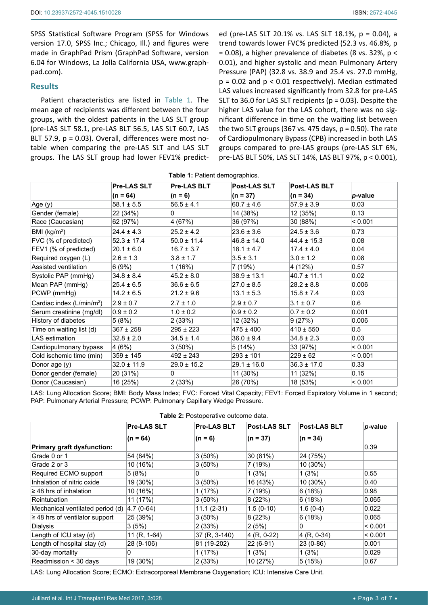SPSS Statistical Software Program (SPSS for Windows version 17.0, SPSS Inc.; Chicago, Ill.) and figures were made in GraphPad Prism (GraphPad Software, version 6.04 for Windows, La Jolla California USA, www.graphpad.com).

## **Results**

Patient characteristics are listed in Table 1. The mean age of recipients was different between the four groups, with the oldest patients in the LAS SLT group (pre-LAS SLT 58.1, pre-LAS BLT 56.5, LAS SLT 60.7, LAS BLT 57.9, p = 0.03). Overall, differences were most notable when comparing the pre-LAS SLT and LAS SLT groups. The LAS SLT group had lower FEV1% predict-

ed (pre-LAS SLT 20.1% vs. LAS SLT 18.1%, p = 0.04), a trend towards lower FVC% predicted (52.3 vs. 46.8%, p  $= 0.08$ ), a higher prevalence of diabetes (8 vs. 32%, p < 0.01), and higher systolic and mean Pulmonary Artery Pressure (PAP) (32.8 vs. 38.9 and 25.4 vs. 27.0 mmHg,  $p = 0.02$  and  $p < 0.01$  respectively). Median estimated LAS values increased significantly from 32.8 for pre-LAS SLT to 36.0 for LAS SLT recipients ( $p = 0.03$ ). Despite the higher LAS value for the LAS cohort, there was no significant difference in time on the waiting list between the two SLT groups (367 vs. 475 days,  $p = 0.50$ ). The rate of Cardiopulmonary Bypass (CPB) increased in both LAS groups compared to pre-LAS groups (pre-LAS SLT 6%, pre-LAS BLT 50%, LAS SLT 14%, LAS BLT 97%, p < 0.001),

**Table 1:** Patient demographics.

|                                       | Pre-LAS SLT     | <b>Pre-LAS BLT</b> | <b>Post-LAS SLT</b> | <b>Post-LAS BLT</b> |         |
|---------------------------------------|-----------------|--------------------|---------------------|---------------------|---------|
|                                       | $(n = 64)$      | $(n = 6)$          | $(n = 37)$          | $(n = 34)$          | p-value |
| Age (y)                               | $58.1 \pm 5.5$  | $56.5 \pm 4.1$     | $60.7 \pm 4.6$      | $57.9 \pm 3.9$      | 0.03    |
| Gender (female)                       | 22 (34%)        | $\mathbf{0}$       | 14 (38%)            | 12 (35%)            | 0.13    |
| Race (Caucasian)                      | 62 (97%)        | 4 (67%)            | 36 (97%)            | 30 (88%)            | < 0.001 |
| BMI ( $kg/m2$ )                       | $24.4 \pm 4.3$  | $25.2 \pm 4.2$     | $23.6 \pm 3.6$      | $24.5 \pm 3.6$      | 0.73    |
| FVC (% of predicted)                  | $52.3 \pm 17.4$ | $50.0 \pm 11.4$    | $46.8 \pm 14.0$     | $44.4 \pm 15.3$     | 0.08    |
| FEV1 (% of predicted)                 | $20.1 \pm 6.0$  | $16.7 \pm 3.7$     | $18.1 \pm 4.7$      | $17.4 \pm 4.0$      | 0.04    |
| Required oxygen (L)                   | $2.6 \pm 1.3$   | $3.8 \pm 1.7$      | $3.5 \pm 3.1$       | $3.0 \pm 1.2$       | 0.08    |
| Assisted ventilation                  | 6(9%)           | 1(16%)             | 7 (19%)             | 4 (12%)             | 0.57    |
| Systolic PAP (mmHg)                   | $34.8 \pm 8.4$  | $45.2 \pm 8.0$     | $38.9 \pm 13.1$     | $40.7 \pm 11.1$     | 0.02    |
| Mean PAP (mmHg)                       | $25.4 \pm 6.5$  | $36.6 \pm 6.5$     | $27.0 \pm 8.5$      | $28.2 \pm 8.8$      | 0.006   |
| PCWP (mmHg)                           | $14.2 \pm 6.5$  | $21.2 \pm 9.6$     | $13.1 \pm 5.3$      | $15.8 \pm 7.4$      | 0.03    |
| Cardiac index (L/min/m <sup>2</sup> ) | $2.9 \pm 0.7$   | $2.7 \pm 1.0$      | $2.9 \pm 0.7$       | $3.1 \pm 0.7$       | 0.6     |
| Serum creatinine (mg/dl)              | $0.9 \pm 0.2$   | $1.0 \pm 0.2$      | $0.9 \pm 0.2$       | $0.7 \pm 0.2$       | 0.001   |
| History of diabetes                   | 5(8%)           | 2(33%)             | 12 (32%)            | 9(27%)              | 0.006   |
| Time on waiting list (d)              | $367 \pm 258$   | $295 \pm 223$      | $475 \pm 400$       | $410 \pm 550$       | 0.5     |
| LAS estimation                        | $32.8 \pm 2.0$  | $34.5 \pm 1.4$     | $36.0 \pm 9.4$      | $34.8 \pm 2.3$      | 0.03    |
| Cardiopulmonary bypass                | 4(6%)           | $3(50\%)$          | 5(14%)              | 33 (97%)            | < 0.001 |
| Cold ischemic time (min)              | $359 \pm 145$   | $492 \pm 243$      | $293 \pm 101$       | $229 \pm 62$        | < 0.001 |
| Donor age (y)                         | $32.0 \pm 11.9$ | $29.0 \pm 15.2$    | $29.1 \pm 16.0$     | $36.3 \pm 17.0$     | 0.33    |
| Donor gender (female)                 | 20 (31%)        | $\mathbf{0}$       | 11 (30%)            | 11 (32%)            | 0.15    |
| Donor (Caucasian)                     | 16 (25%)        | 2(33%)             | 26 (70%)            | 18 (53%)            | < 0.001 |

LAS: Lung Allocation Score; BMI: Body Mass Index; FVC: Forced Vital Capacity; FEV1: Forced Expiratory Volume in 1 second; PAP: Pulmonary Arterial Pressure; PCWP: Pulmonary Capillary Wedge Pressure.

|  |  | Table 2: Postoperative outcome data. |
|--|--|--------------------------------------|
|--|--|--------------------------------------|

|                                     | <b>Pre-LAS SLT</b> | <b>Pre-LAS BLT</b> | <b>Post-LAS SLT</b> | <b>Post-LAS BLT</b> | p-value |
|-------------------------------------|--------------------|--------------------|---------------------|---------------------|---------|
|                                     | $(n = 64)$         | $(n = 6)$          | $(n = 37)$          | $(n = 34)$          |         |
| <b>Primary graft dysfunction:</b>   |                    |                    |                     |                     | 0.39    |
| Grade 0 or 1                        | 54 (84%)           | 3(50%)             | 30 (81%)            | 24 (75%)            |         |
| Grade 2 or 3                        | 10 (16%)           | 3(50%)             | 7 (19%)             | 10 (30%)            |         |
| Required ECMO support               | 5(8%)              | 0                  | 1(3%)               | 1(3%)               | 0.55    |
| Inhalation of nitric oxide          | 19 (30%)           | 3(50%)             | 16 (43%)            | $10(30\%)$          | 0.40    |
| $\geq$ 48 hrs of inhalation         | 10 (16%)           | 1(17%)             | 7 (19%)             | 6(18%)              | 0.98    |
| <b>Reintubation</b>                 | 11 (17%)           | 3(50%)             | 8(22%)              | 6(18%)              | 0.065   |
| Mechanical ventilated period (d)    | $ 4.7(0-64) $      | $11.1(2-31)$       | $1.5(0-10)$         | $1.6(0-4)$          | 0.022   |
| $\geq$ 48 hrs of ventilator support | 25 (39%)           | $3(50\%)$          | 8(22%)              | 6(18%)              | 0.065   |
| Dialysis                            | 3(5%)              | (33%)              | 2(5%)               | 0                   | < 0.001 |
| Length of ICU stay (d)              | 11 $(R, 1-64)$     | 37 (R, 3-140)      | $4 (R, 0-22)$       | $ 4$ (R, 0-34)      | < 0.001 |
| Length of hospital stay (d)         | 28 (9-106)         | 81 (19-202)        | 22 (6-91)           | $23(0-86)$          | 0.001   |
| 30-day mortality                    | 0                  | 1(17%)             | 1(3%)               | 1(3%)               | 0.029   |
| Readmission < 30 days               | 19 (30%)           | 2(33%)             | 10 (27%)            | 5(15%)              | 0.67    |

LAS: Lung Allocation Score; ECMO: Extracorporeal Membrane Oxygenation; ICU: Intensive Care Unit.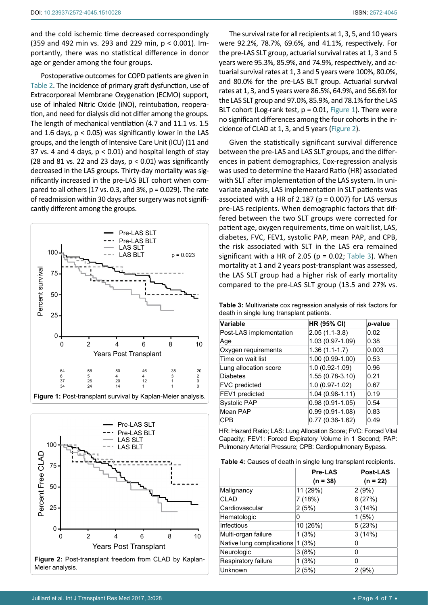and the cold ischemic time decreased correspondingly (359 and 492 min vs. 293 and 229 min, p < 0.001). Importantly, there was no statistical difference in donor age or gender among the four groups.

Postoperative outcomes for COPD patients are given in Table 2. The incidence of primary graft dysfunction, use of Extracorporeal Membrane Oxygenation (ECMO) support, use of inhaled Nitric Oxide (iNO), reintubation, reoperation, and need for dialysis did not differ among the groups. The length of mechanical ventilation (4.7 and 11.1 vs. 1.5 and 1.6 days,  $p < 0.05$ ) was significantly lower in the LAS groups, and the length of Intensive Care Unit (ICU) (11 and 37 vs. 4 and 4 days, p < 0.01) and hospital length of stay (28 and 81 vs. 22 and 23 days,  $p < 0.01$ ) was significantly decreased in the LAS groups. Thirty-day mortality was significantly increased in the pre-LAS BLT cohort when compared to all others (17 vs. 0.3, and 3%,  $p = 0.029$ ). The rate of readmission within 30 days after surgery was not significantly different among the groups.





The survival rate for all recipients at 1, 3, 5, and 10 years were 92.2%, 78.7%, 69.6%, and 41.1%, respectively. For the pre-LAS SLT group, actuarial survival rates at 1, 3 and 5 years were 95.3%, 85.9%, and 74.9%, respectively, and actuarial survival rates at 1, 3 and 5 years were 100%, 80.0%, and 80.0% for the pre-LAS BLT group. Actuarial survival rates at 1, 3, and 5 years were 86.5%, 64.9%, and 56.6% for the LAS SLT group and 97.0%, 85.9%, and 78.1% for the LAS BLT cohort (Log-rank test,  $p = 0.01$ , Figure 1). There were no significant differences among the four cohorts in the incidence of CLAD at 1, 3, and 5 years (Figure 2).

Given the statistically significant survival difference between the pre-LAS and LAS SLT groups, and the differences in patient demographics, Cox-regression analysis was used to determine the Hazard Ratio (HR) associated with SLT after implementation of the LAS system. In univariate analysis, LAS implementation in SLT patients was associated with a HR of 2.187 ( $p = 0.007$ ) for LAS versus pre-LAS recipients. When demographic factors that differed between the two SLT groups were corrected for patient age, oxygen requirements, time on wait list, LAS, diabetes, FVC, FEV1, systolic PAP, mean PAP, and CPB, the risk associated with SLT in the LAS era remained significant with a HR of 2.05 ( $p = 0.02$ ; Table 3). When mortality at 1 and 2 years post-transplant was assessed, the LAS SLT group had a higher risk of early mortality compared to the pre-LAS SLT group (13.5 and 27% vs.

**Table 3:** Multivariate cox regression analysis of risk factors for death in single lung transplant patients.

| <b>Variable</b>         | HR (95% CI)       | p-value |
|-------------------------|-------------------|---------|
| Post-LAS implementation | $2.05(1.1-3.8)$   | 0.02    |
| Age                     | 1.03 (0.97-1.09)  | 0.38    |
| Oxygen requirements     | $1.36(1.1-1.7)$   | 0.003   |
| Time on wait list       | 1.00 (0.99-1.00)  | 0.53    |
| Lung allocation score   | 1.0 (0.92-1.09)   | 0.96    |
| <b>Diabetes</b>         | 1.55 (0.78-3.10)  | 0.21    |
| FVC predicted           | 1.0 (0.97-1.02)   | 0.67    |
| FEV1 predicted          | $1.04(0.98-1.11)$ | 0.19    |
| <b>Systolic PAP</b>     | $0.98(0.91-1.05)$ | 0.54    |
| Mean PAP                | $0.99(0.91-1.08)$ | 0.83    |
| CPB                     | $0.77(0.36-1.62)$ | 0.49    |

HR: Hazard Ratio; LAS: Lung Allocation Score; FVC: Forced Vital Capacity; FEV1: Forced Expiratory Volume in 1 Second; PAP: Pulmonary Arterial Pressure; CPB: Cardiopulmonary Bypass.

**Table 4:** Causes of death in single lung transplant recipients.

|                           | <b>Pre-LAS</b> | <b>Post-LAS</b> |  |
|---------------------------|----------------|-----------------|--|
|                           | $(n = 38)$     | $(n = 22)$      |  |
| Malignancy                | 11 (29%)       | 2(9%)           |  |
| <b>CLAD</b>               | 7 (18%)        | 6(27%)          |  |
| Cardiovascular            | 2(5%)          | 3(14%)          |  |
| Hematologic               | 0              | 1(5%)           |  |
| Infectious                | 10 (26%)       | 5(23%)          |  |
| Multi-organ failure       | 1(3%)          | 3(14%)          |  |
| Native lung complications | 1(3%)          | 0               |  |
| Neurologic                | 3(8%)          | 0               |  |
| Respiratory failure       | 1(3%)          | 0               |  |
| Unknown                   | 2(5%)          | 2(9%)           |  |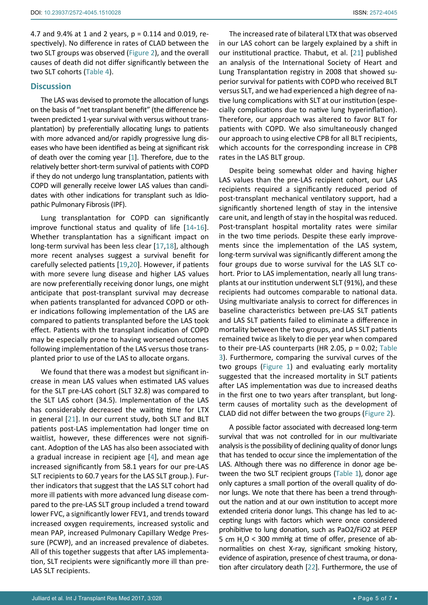4.7 and 9.4% at 1 and 2 years, p = 0.114 and 0.019, respectively). No difference in rates of CLAD between the two SLT groups was observed (Figure 2), and the overall causes of death did not differ significantly between the two SLT cohorts (Table 4).

### **Discussion**

The LAS was devised to promote the allocation of lungs on the basis of "net transplant benefit" (the difference between predicted 1-year survival with versus without transplantation) by preferentially allocating lungs to patients with more advanced and/or rapidly progressive lung diseases who have been identified as being at significant risk of death over the coming year [[1](#page-5-0)]. Therefore, due to the relatively better short-term survival of patients with COPD if they do not undergo lung transplantation, patients with COPD will generally receive lower LAS values than candidates with other indications for transplant such as Idiopathic Pulmonary Fibrosis (IPF).

Lung transplantation for COPD can significantly improve functional status and quality of life [[14](#page-6-13)[-16](#page-6-14)]. Whether transplantation has a significant impact on long-term survival has been less clear [[17](#page-6-15),[18\]](#page-6-16), although more recent analyses suggest a survival benefit for carefully selected patients [[19](#page-6-17),[20](#page-6-18)]. However, if patients with more severe lung disease and higher LAS values are now preferentially receiving donor lungs, one might anticipate that post-transplant survival may decrease when patients transplanted for advanced COPD or other indications following implementation of the LAS are compared to patients transplanted before the LAS took effect. Patients with the transplant indication of COPD may be especially prone to having worsened outcomes following implementation of the LAS versus those transplanted prior to use of the LAS to allocate organs.

We found that there was a modest but significant increase in mean LAS values when estimated LAS values for the SLT pre-LAS cohort (SLT 32.8) was compared to the SLT LAS cohort (34.5). Implementation of the LAS has considerably decreased the waiting time for LTX in general [[21](#page-6-11)]. In our current study, both SLT and BLT patients post-LAS implementation had longer time on waitlist, however, these differences were not significant. Adoption of the LAS has also been associated with a gradual increase in recipient age [[4\]](#page-6-5), and mean age increased significantly from 58.1 years for our pre-LAS SLT recipients to 60.7 years for the LAS SLT group.). Further indicators that suggest that the LAS SLT cohort had more ill patients with more advanced lung disease compared to the pre-LAS SLT group included a trend toward lower FVC, a significantly lower FEV1, and trends toward increased oxygen requirements, increased systolic and mean PAP, increased Pulmonary Capillary Wedge Pressure (PCWP), and an increased prevalence of diabetes. All of this together suggests that after LAS implementation, SLT recipients were significantly more ill than pre-LAS SLT recipients.

The increased rate of bilateral LTX that was observed in our LAS cohort can be largely explained by a shift in our institutional practice. Thabut, et al. [[21](#page-6-11)] published an analysis of the International Society of Heart and Lung Transplantation registry in 2008 that showed superior survival for patients with COPD who received BLT versus SLT, and we had experienced a high degree of native lung complications with SLT at our institution (especially complications due to native lung hyperinflation). Therefore, our approach was altered to favor BLT for patients with COPD. We also simultaneously changed our approach to using elective CPB for all BLT recipients, which accounts for the corresponding increase in CPB rates in the LAS BLT group.

Despite being somewhat older and having higher LAS values than the pre-LAS recipient cohort, our LAS recipients required a significantly reduced period of post-transplant mechanical ventilatory support, had a significantly shortened length of stay in the intensive care unit, and length of stay in the hospital was reduced. Post-transplant hospital mortality rates were similar in the two time periods. Despite these early improvements since the implementation of the LAS system, long-term survival was significantly different among the four groups due to worse survival for the LAS SLT cohort. Prior to LAS implementation, nearly all lung transplants at our institution underwent SLT (91%), and these recipients had outcomes comparable to national data. Using multivariate analysis to correct for differences in baseline characteristics between pre-LAS SLT patients and LAS SLT patients failed to eliminate a difference in mortality between the two groups, and LAS SLT patients remained twice as likely to die per year when compared to their pre-LAS counterparts (HR 2.05, p = 0.02; Table 3). Furthermore, comparing the survival curves of the two groups (Figure 1) and evaluating early mortality suggested that the increased mortality in SLT patients after LAS implementation was due to increased deaths in the first one to two years after transplant, but longterm causes of mortality such as the development of CLAD did not differ between the two groups (Figure 2).

A possible factor associated with decreased long-term survival that was not controlled for in our multivariate analysis is the possibility of declining quality of donor lungs that has tended to occur since the implementation of the LAS. Although there was no difference in donor age between the two SLT recipient groups (Table 1), donor age only captures a small portion of the overall quality of donor lungs. We note that there has been a trend throughout the nation and at our own institution to accept more extended criteria donor lungs. This change has led to accepting lungs with factors which were once considered prohibitive to lung donation, such as PaO2/FiO2 at PEEP 5 cm  $H_2O < 300$  mmHg at time of offer, presence of abnormalities on chest X-ray, significant smoking history, evidence of aspiration, presence of chest trauma, or donation after circulatory death [[22](#page-6-12)]. Furthermore, the use of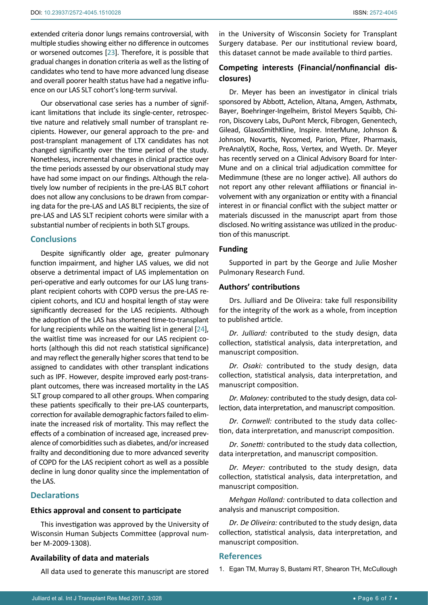extended criteria donor lungs remains controversial, with multiple studies showing either no difference in outcomes or worsened outcomes [[23\]](#page-6-19). Therefore, it is possible that gradual changes in donation criteria as well as the listing of candidates who tend to have more advanced lung disease and overall poorer health status have had a negative influence on our LAS SLT cohort's long-term survival.

Our observational case series has a number of significant limitations that include its single-center, retrospective nature and relatively small number of transplant recipients. However, our general approach to the pre- and post-transplant management of LTX candidates has not changed significantly over the time period of the study. Nonetheless, incremental changes in clinical practice over the time periods assessed by our observational study may have had some impact on our findings. Although the relatively low number of recipients in the pre-LAS BLT cohort does not allow any conclusions to be drawn from comparing data for the pre-LAS and LAS BLT recipients, the size of pre-LAS and LAS SLT recipient cohorts were similar with a substantial number of recipients in both SLT groups.

## **Conclusions**

Despite significantly older age, greater pulmonary function impairment, and higher LAS values, we did not observe a detrimental impact of LAS implementation on peri-operative and early outcomes for our LAS lung transplant recipient cohorts with COPD versus the pre-LAS recipient cohorts, and ICU and hospital length of stay were significantly decreased for the LAS recipients. Although the adoption of the LAS has shortened time-to-transplant for lung recipients while on the waiting list in general [[24\]](#page-6-20), the waitlist time was increased for our LAS recipient cohorts (although this did not reach statistical significance) and may reflect the generally higher scores that tend to be assigned to candidates with other transplant indications such as IPF. However, despite improved early post-transplant outcomes, there was increased mortality in the LAS SLT group compared to all other groups. When comparing these patients specifically to their pre-LAS counterparts, correction for available demographic factors failed to eliminate the increased risk of mortality. This may reflect the effects of a combination of increased age, increased prevalence of comorbidities such as diabetes, and/or increased frailty and deconditioning due to more advanced severity of COPD for the LAS recipient cohort as well as a possible decline in lung donor quality since the implementation of the LAS.

## **Declarations**

#### **Ethics approval and consent to participate**

This investigation was approved by the University of Wisconsin Human Subjects Committee (approval number M-2009-1308).

#### **Availability of data and materials**

All data used to generate this manuscript are stored

in the University of Wisconsin Society for Transplant Surgery database. Per our institutional review board, this dataset cannot be made available to third parties.

## **Competing interests (Financial/nonfinancial disclosures)**

Dr. Meyer has been an investigator in clinical trials sponsored by Abbott, Actelion, Altana, Amgen, Asthmatx, Bayer, Boehringer-Ingelheim, Bristol Meyers Squibb, Chiron, Discovery Labs, DuPont Merck, Fibrogen, Genentech, Gilead, GlaxoSmithKline, Inspire. InterMune, Johnson & Johnson, Novartis, Nycomed, Parion, Pfizer, Pharmaxis, PreAnalytiX, Roche, Ross, Vertex, and Wyeth. Dr. Meyer has recently served on a Clinical Advisory Board for Inter-Mune and on a clinical trial adjudication committee for Medimmune (these are no longer active). All authors do not report any other relevant affiliations or financial involvement with any organization or entity with a financial interest in or financial conflict with the subject matter or materials discussed in the manuscript apart from those disclosed. No writing assistance was utilized in the production of this manuscript.

#### **Funding**

Supported in part by the George and Julie Mosher Pulmonary Research Fund.

## **Authors' contributions**

Drs. Julliard and De Oliveira: take full responsibility for the integrity of the work as a whole, from inception to published article.

*Dr. Julliard:* contributed to the study design, data collection, statistical analysis, data interpretation, and manuscript composition.

*Dr. Osaki:* contributed to the study design, data collection, statistical analysis, data interpretation, and manuscript composition.

*Dr. Maloney:* contributed to the study design, data collection, data interpretation, and manuscript composition.

*Dr. Cornwell:* contributed to the study data collection, data interpretation, and manuscript composition.

*Dr. Sonetti:* contributed to the study data collection, data interpretation, and manuscript composition.

*Dr. Meyer:* contributed to the study design, data collection, statistical analysis, data interpretation, and manuscript composition.

*Mehgan Holland:* contributed to data collection and analysis and manuscript composition.

*Dr. De Oliveira:* contributed to the study design, data collection, statistical analysis, data interpretation, and manuscript composition.

#### **References**

<span id="page-5-0"></span>1. [Egan TM, Murray S, Bustami RT, Shearon TH, McCullough](https://www.ncbi.nlm.nih.gov/pubmed/16613597)